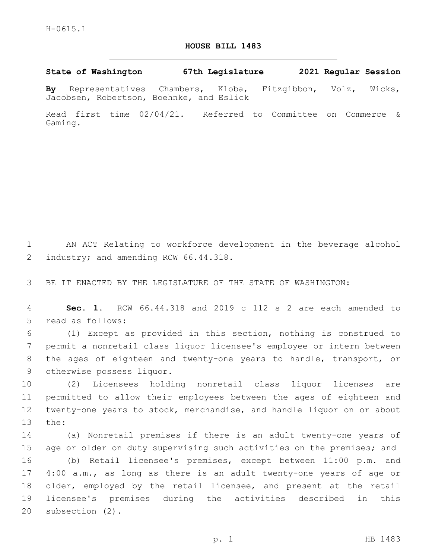## **HOUSE BILL 1483**

**State of Washington 67th Legislature 2021 Regular Session**

**By** Representatives Chambers, Kloba, Fitzgibbon, Volz, Wicks, Jacobsen, Robertson, Boehnke, and Eslick

Read first time 02/04/21. Referred to Committee on Commerce & Gaming.

1 AN ACT Relating to workforce development in the beverage alcohol 2 industry; and amending RCW 66.44.318.

3 BE IT ENACTED BY THE LEGISLATURE OF THE STATE OF WASHINGTON:

4 **Sec. 1.** RCW 66.44.318 and 2019 c 112 s 2 are each amended to 5 read as follows:

 (1) Except as provided in this section, nothing is construed to permit a nonretail class liquor licensee's employee or intern between the ages of eighteen and twenty-one years to handle, transport, or 9 otherwise possess liquor.

 (2) Licensees holding nonretail class liquor licenses are permitted to allow their employees between the ages of eighteen and twenty-one years to stock, merchandise, and handle liquor on or about 13 the:

 (a) Nonretail premises if there is an adult twenty-one years of 15 age or older on duty supervising such activities on the premises; and (b) Retail licensee's premises, except between 11:00 p.m. and 4:00 a.m., as long as there is an adult twenty-one years of age or older, employed by the retail licensee, and present at the retail licensee's premises during the activities described in this 20 subsection (2).